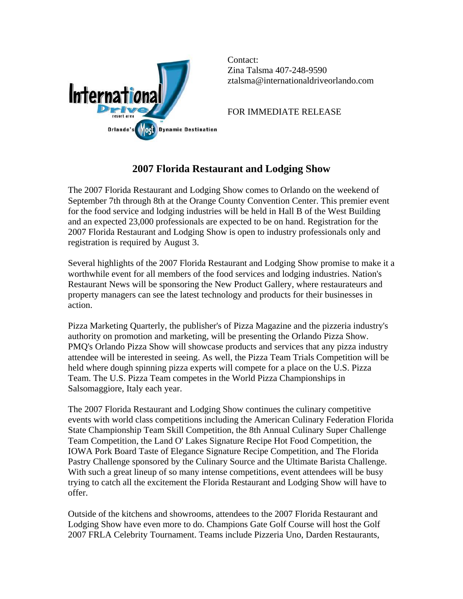

Contact: Zina Talsma 407-248-9590 [ztalsma@internationaldriveorlando.com](mailto:ztalsma@internationaldriveorlando.com) 

FOR IMMEDIATE RELEASE

## **2007 Florida Restaurant and Lodging Show**

The 2007 Florida Restaurant and Lodging Show comes to Orlando on the weekend of September 7th through 8th at the Orange County Convention Center. This premier event for the food service and lodging industries will be held in Hall B of the West Building and an expected 23,000 professionals are expected to be on hand. Registration for the 2007 Florida Restaurant and Lodging Show is open to industry professionals only and registration is required by August 3.

Several highlights of the 2007 Florida Restaurant and Lodging Show promise to make it a worthwhile event for all members of the food services and lodging industries. Nation's Restaurant News will be sponsoring the New Product Gallery, where restaurateurs and property managers can see the latest technology and products for their businesses in action.

Pizza Marketing Quarterly, the publisher's of Pizza Magazine and the pizzeria industry's authority on promotion and marketing, will be presenting the Orlando Pizza Show. PMQ's Orlando Pizza Show will showcase products and services that any pizza industry attendee will be interested in seeing. As well, the Pizza Team Trials Competition will be held where dough spinning pizza experts will compete for a place on the U.S. Pizza Team. The U.S. Pizza Team competes in the World Pizza Championships in Salsomaggiore, Italy each year.

The 2007 Florida Restaurant and Lodging Show continues the culinary competitive events with world class competitions including the American Culinary Federation Florida State Championship Team Skill Competition, the 8th Annual Culinary Super Challenge Team Competition, the Land O' Lakes Signature Recipe Hot Food Competition, the IOWA Pork Board Taste of Elegance Signature Recipe Competition, and The Florida Pastry Challenge sponsored by the Culinary Source and the Ultimate Barista Challenge. With such a great lineup of so many intense competitions, event attendees will be busy trying to catch all the excitement the Florida Restaurant and Lodging Show will have to offer.

Outside of the kitchens and showrooms, attendees to the 2007 Florida Restaurant and Lodging Show have even more to do. Champions Gate Golf Course will host the Golf 2007 FRLA Celebrity Tournament. Teams include Pizzeria Uno, Darden Restaurants,